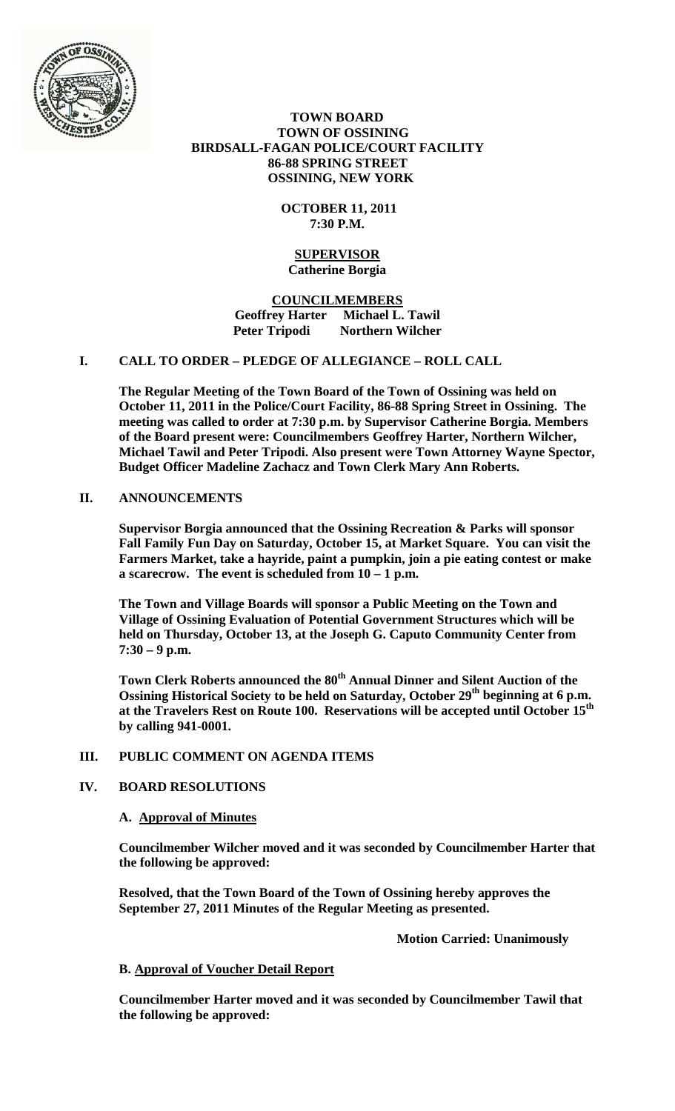

 **TOWN BOARD TOWN OF OSSINING BIRDSALL-FAGAN POLICE/COURT FACILITY 86-88 SPRING STREET OSSINING, NEW YORK**

> **OCTOBER 11, 2011 7:30 P.M.**

#### **SUPERVISOR Catherine Borgia**

**COUNCILMEMBERS Geoffrey Harter Michael L. Tawil Northern Wilcher** 

# **I. CALL TO ORDER – PLEDGE OF ALLEGIANCE – ROLL CALL**

**The Regular Meeting of the Town Board of the Town of Ossining was held on October 11, 2011 in the Police/Court Facility, 86-88 Spring Street in Ossining. The meeting was called to order at 7:30 p.m. by Supervisor Catherine Borgia. Members of the Board present were: Councilmembers Geoffrey Harter, Northern Wilcher, Michael Tawil and Peter Tripodi. Also present were Town Attorney Wayne Spector, Budget Officer Madeline Zachacz and Town Clerk Mary Ann Roberts.**

## **II. ANNOUNCEMENTS**

**Supervisor Borgia announced that the Ossining Recreation & Parks will sponsor Fall Family Fun Day on Saturday, October 15, at Market Square. You can visit the Farmers Market, take a hayride, paint a pumpkin, join a pie eating contest or make a scarecrow. The event is scheduled from 10 – 1 p.m.**

**The Town and Village Boards will sponsor a Public Meeting on the Town and Village of Ossining Evaluation of Potential Government Structures which will be held on Thursday, October 13, at the Joseph G. Caputo Community Center from 7:30 – 9 p.m.**

Town Clerk Roberts announced the 80<sup>th</sup> Annual Dinner and Silent Auction of the **Ossining Historical Society to be held on Saturday, October 29<sup>th</sup> beginning at 6 p.m. at the Travelers Rest on Route 100. Reservations will be accepted until October 15th by calling 941-0001.**

## **III. PUBLIC COMMENT ON AGENDA ITEMS**

## **IV. BOARD RESOLUTIONS**

## **A. Approval of Minutes**

**Councilmember Wilcher moved and it was seconded by Councilmember Harter that the following be approved:**

**Resolved, that the Town Board of the Town of Ossining hereby approves the September 27, 2011 Minutes of the Regular Meeting as presented.**

**Motion Carried: Unanimously**

#### **B. Approval of Voucher Detail Report**

**Councilmember Harter moved and it was seconded by Councilmember Tawil that the following be approved:**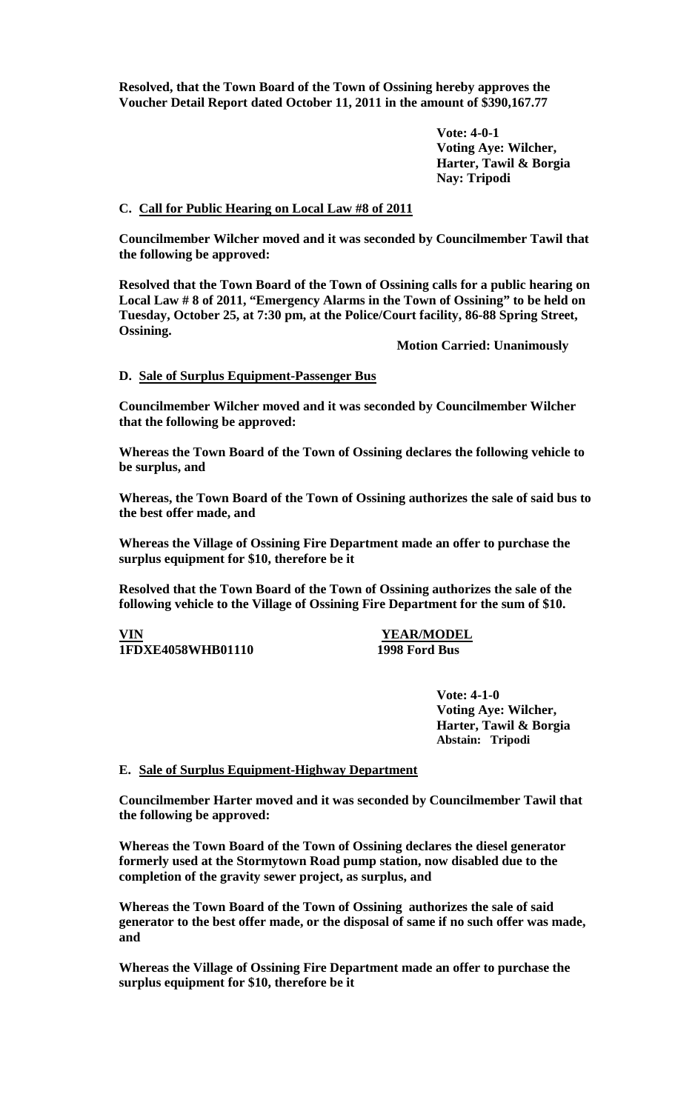**Resolved, that the Town Board of the Town of Ossining hereby approves the Voucher Detail Report dated October 11, 2011 in the amount of \$390,167.77**

> **Vote: 4-0-1 Voting Aye: Wilcher, Harter, Tawil & Borgia Nay: Tripodi**

### **C. Call for Public Hearing on Local Law #8 of 2011**

**Councilmember Wilcher moved and it was seconded by Councilmember Tawil that the following be approved:**

**Resolved that the Town Board of the Town of Ossining calls for a public hearing on Local Law # 8 of 2011, "Emergency Alarms in the Town of Ossining" to be held on Tuesday, October 25, at 7:30 pm, at the Police/Court facility, 86-88 Spring Street, Ossining.**

**Motion Carried: Unanimously**

#### **D. Sale of Surplus Equipment-Passenger Bus**

**Councilmember Wilcher moved and it was seconded by Councilmember Wilcher that the following be approved:**

**Whereas the Town Board of the Town of Ossining declares the following vehicle to be surplus, and** 

**Whereas, the Town Board of the Town of Ossining authorizes the sale of said bus to the best offer made, and**

**Whereas the Village of Ossining Fire Department made an offer to purchase the surplus equipment for \$10, therefore be it**

**Resolved that the Town Board of the Town of Ossining authorizes the sale of the following vehicle to the Village of Ossining Fire Department for the sum of \$10.**

**VIN YEAR/MODEL 1FDXE4058WHB01110 1998 Ford Bus**

**Vote: 4-1-0 Voting Aye: Wilcher, Harter, Tawil & Borgia Abstain: Tripodi** 

#### **E. Sale of Surplus Equipment-Highway Department**

**Councilmember Harter moved and it was seconded by Councilmember Tawil that the following be approved:**

**Whereas the Town Board of the Town of Ossining declares the diesel generator formerly used at the Stormytown Road pump station, now disabled due to the completion of the gravity sewer project, as surplus, and** 

**Whereas the Town Board of the Town of Ossining authorizes the sale of said generator to the best offer made, or the disposal of same if no such offer was made, and**

**Whereas the Village of Ossining Fire Department made an offer to purchase the surplus equipment for \$10, therefore be it**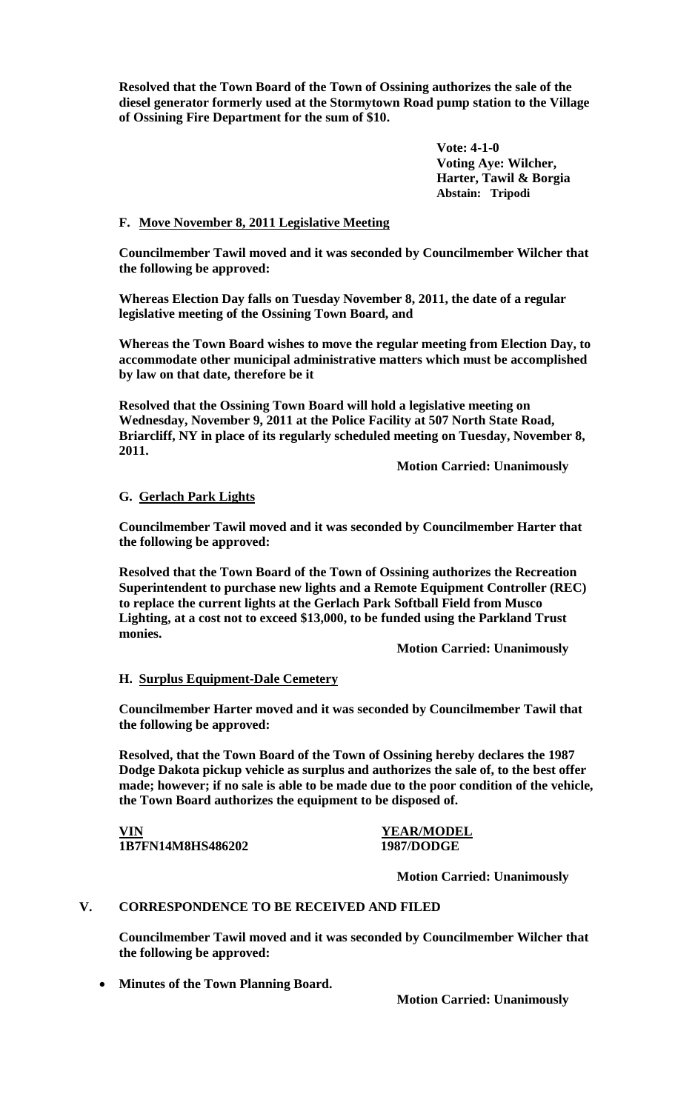**Resolved that the Town Board of the Town of Ossining authorizes the sale of the diesel generator formerly used at the Stormytown Road pump station to the Village of Ossining Fire Department for the sum of \$10.**

> **Vote: 4-1-0 Voting Aye: Wilcher, Harter, Tawil & Borgia Abstain: Tripodi**

## **F. Move November 8, 2011 Legislative Meeting**

**Councilmember Tawil moved and it was seconded by Councilmember Wilcher that the following be approved:**

**Whereas Election Day falls on Tuesday November 8, 2011, the date of a regular legislative meeting of the Ossining Town Board, and**

**Whereas the Town Board wishes to move the regular meeting from Election Day, to accommodate other municipal administrative matters which must be accomplished by law on that date, therefore be it** 

**Resolved that the Ossining Town Board will hold a legislative meeting on Wednesday, November 9, 2011 at the Police Facility at 507 North State Road, Briarcliff, NY in place of its regularly scheduled meeting on Tuesday, November 8, 2011.**

**Motion Carried: Unanimously**

# **G. Gerlach Park Lights**

**Councilmember Tawil moved and it was seconded by Councilmember Harter that the following be approved:**

**Resolved that the Town Board of the Town of Ossining authorizes the Recreation Superintendent to purchase new lights and a Remote Equipment Controller (REC) to replace the current lights at the Gerlach Park Softball Field from Musco Lighting, at a cost not to exceed \$13,000, to be funded using the Parkland Trust monies.** 

**Motion Carried: Unanimously**

## **H. Surplus Equipment-Dale Cemetery**

**Councilmember Harter moved and it was seconded by Councilmember Tawil that the following be approved:**

**Resolved, that the Town Board of the Town of Ossining hereby declares the 1987 Dodge Dakota pickup vehicle as surplus and authorizes the sale of, to the best offer made; however; if no sale is able to be made due to the poor condition of the vehicle, the Town Board authorizes the equipment to be disposed of.**

**VIN YEAR/MODEL 1B7FN14M8HS486202 1987/DODGE**

**Motion Carried: Unanimously**

## **V. CORRESPONDENCE TO BE RECEIVED AND FILED**

**Councilmember Tawil moved and it was seconded by Councilmember Wilcher that the following be approved:**

• **Minutes of the Town Planning Board.**

**Motion Carried: Unanimously**